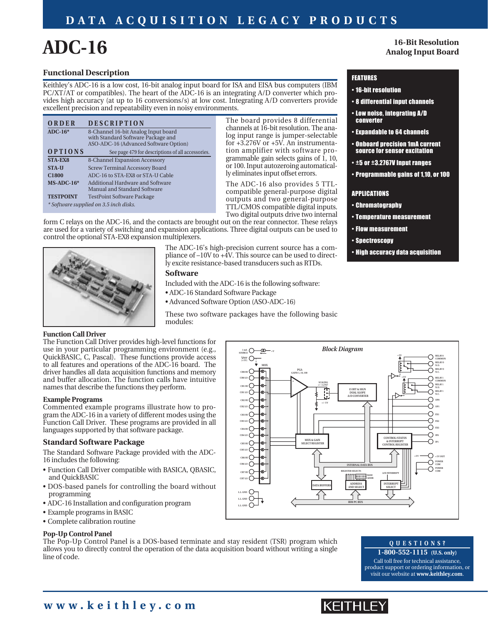### **DATA ACQUISITION LEGACY PRODUCTS**

# **ADC-16**

**16-Bit Resolution Analog Input Board**

#### **Functional Description**

Keithley's ADC-16 is a low cost, 16-bit analog input board for ISA and EISA bus computers (IBM PC/XT/AT or compatibles). The heart of the ADC-16 is an integrating A/D converter which provides high accuracy (at up to 16 conversions/s) at low cost. Integrating A/D converters provide excellent precision and repeatability even in noisy environments.

| ORDER                                  | <b>DESCRIPTION</b>                                                          |  |  |
|----------------------------------------|-----------------------------------------------------------------------------|--|--|
| $ADC-16*$                              | 8-Channel 16-bit Analog Input board                                         |  |  |
|                                        | with Standard Software Package and<br>ASO-ADC-16 (Advanced Software Option) |  |  |
| OPTIONS                                | See page 479 for descriptions of all accessories.                           |  |  |
| <b>STA-EX8</b>                         | 8-Channel Expansion Accessory                                               |  |  |
| <b>STA-U</b>                           | <b>Screw Terminal Accessory Board</b>                                       |  |  |
| C1800                                  | ADC-16 to STA-EX8 or STA-U Cable                                            |  |  |
| $MS-ADC-16*$                           | Additional Hardware and Software<br>Manual and Standard Software            |  |  |
| <b>TESTPOINT</b>                       | <b>TestPoint Software Package</b>                                           |  |  |
| * Software supplied on 3.5 inch disks. |                                                                             |  |  |

The board provides 8 differential channels at 16-bit resolution. The analog input range is jumper-selectable for +3.276V or +5V. An instrumentation amplifier with software programmable gain selects gains of  $\hat{1}$ , 10, or 100. Input autozeroing automatically eliminates input offset errors.

The ADC-16 also provides 5 TTLcompatible general-purpose digital outputs and two general-purpose TTL/CMOS compatible digital inputs. Two digital outputs drive two internal

form C relays on the ADC-16, and the contacts are brought out on the rear connector. These relays are used for a variety of switching and expansion applications. Three digital outputs can be used to control the optional STA-EX8 expansion multiplexers.



The ADC-16's high-precision current source has a compliance of  $-10V$  to  $+\hat{4}V$ . This source can be used to directly excite resistance-based transducers such as RTDs.

#### **Software**

Included with the ADC-16 is the following software:

- ADC-16 Standard Software Package
- Advanced Software Option (ASO-ADC-16)

These two software packages have the following basic modules:

#### **Function Call Driver**

The Function Call Driver provides high-level functions for use in your particular programming environment (e.g., QuickBASIC, C, Pascal). These functions provide access to all features and operations of the ADC-16 board. The driver handles all data acquisition functions and memory and buffer allocation. The function calls have intuitive names that describe the functions they perform.

#### **Example Programs**

Commented example programs illustrate how to program the ADC-16 in a variety of different modes using the Function Call Driver. These programs are provided in all languages supported by that software package.

#### **Standard Software Package**

The Standard Software Package provided with the ADC-16 includes the following:

- Function Call Driver compatible with BASICA, QBASIC, and QuickBASIC
- DOS-based panels for controlling the board without programming
- ADC-16 Installation and configuration program
- Example programs in BASIC
- Complete calibration routine

#### **Pop-Up Control Panel**

The Pop-Up Control Panel is a DOS-based terminate and stay resident (TSR) program which allows you to directly control the operation of the data acquisition board without writing a single line of code.



#### **QUESTIONS?**

**1-800-552-1115 (U.S. only)** Call toll free for technical assistance, product support or ordering information, or visit our website at **www.keithley.com**.

## IKEITHLEY

#### FEATURES

- 16-bit resolution
- 8 differential input channels
- Low noise, integrating A/D converter
- Expandable to 64 channels
- Onboard precision 1mA current source for sensor excitation
- ±5 or ±3.2767V Input ranges
- Programmable gains of 1,10, or 100

#### APPLICATIONS

- Chromatography
- Temperature measurement
- Flow measurement
- Spectroscopy
- High accuracy data acquisition